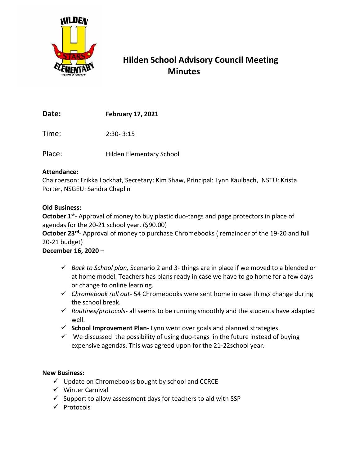

# **Hilden School Advisory Council Meeting Minutes**

**Date: February 17, 2021**

Time: 2:30- 3:15

Place: Hilden Elementary School

### **Attendance:**

Chairperson: Erikka Lockhat, Secretary: Kim Shaw, Principal: Lynn Kaulbach, NSTU: Krista Porter, NSGEU: Sandra Chaplin

## **Old Business:**

October 1<sup>st</sup>- Approval of money to buy plastic duo-tangs and page protectors in place of agendas for the 20-21 school year. (\$90.00)

October 23<sup>rd</sup>- Approval of money to purchase Chromebooks (remainder of the 19-20 and full 20-21 budget)

# **December 16, 2020 –**

- ✓ *Back to School plan,* Scenario 2 and 3- things are in place if we moved to a blended or at home model. Teachers has plans ready in case we have to go home for a few days or change to online learning.
- ✓ *Chromebook roll out* 54 Chromebooks were sent home in case things change during the school break.
- ✓ *Routines/protocols* all seems to be running smoothly and the students have adapted well.
- ✓ **School Improvement Plan-** Lynn went over goals and planned strategies.
- $\checkmark$  We discussed the possibility of using duo-tangs in the future instead of buying expensive agendas. This was agreed upon for the 21-22school year.

### **New Business:**

- $\checkmark$  Update on Chromebooks bought by school and CCRCE
- ✓ Winter Carnival
- $\checkmark$  Support to allow assessment days for teachers to aid with SSP
- ✓ Protocols